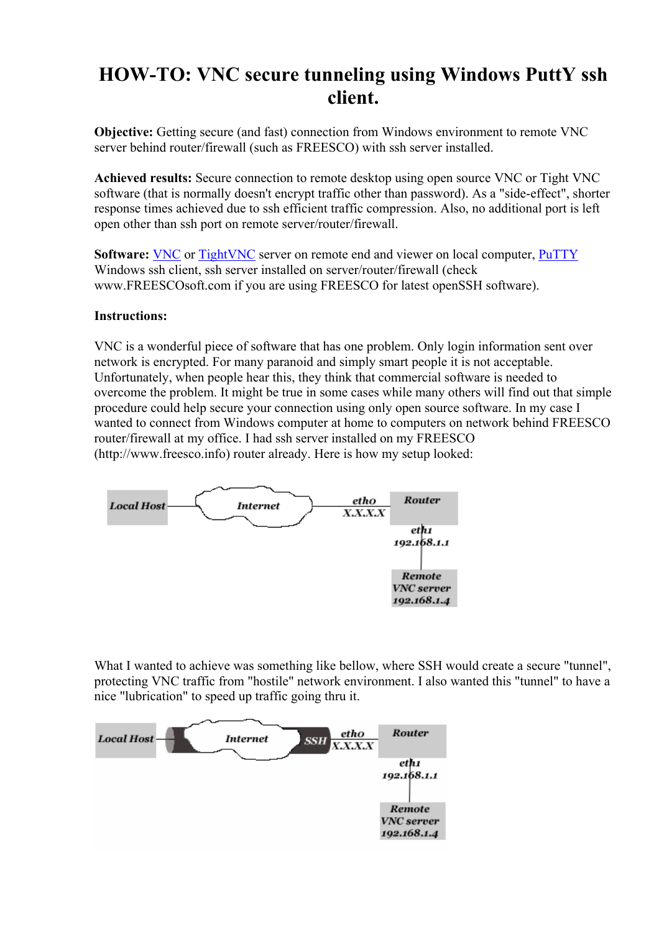## **HOW-TO: VNC secure tunneling using Windows PuttY ssh client.**

**Objective:** Getting secure (and fast) connection from Windows environment to remote VNC server behind router/firewall (such as FREESCO) with ssh server installed.

**Achieved results:** Secure connection to remote desktop using open source VNC or Tight VNC software (that is normally doesn't encrypt traffic other than password). As a "side-effect", shorter response times achieved due to ssh efficient traffic compression. Also, no additional port is left open other than ssh port on remote server/router/firewall.

**Software:** VNC or TightVNC server on remote end and viewer on local computer, PuTTY Windows ssh client, ssh server installed on server/router/firewall (check www.FREESCOsoft.com if you are using FREESCO for latest openSSH software).

## **Instructions:**

VNC is a wonderful piece of software that has one problem. Only login information sent over network is encrypted. For many paranoid and simply smart people it is not acceptable. Unfortunately, when people hear this, they think that commercial software is needed to overcome the problem. It might be true in some cases while many others will find out that simple procedure could help secure your connection using only open source software. In my case I wanted to connect from Windows computer at home to computers on network behind FREESCO router/firewall at my office. I had ssh server installed on my FREESCO (http://www.freesco.info) router already. Here is how my setup looked:



What I wanted to achieve was something like bellow, where SSH would create a secure "tunnel", protecting VNC traffic from "hostile" network environment. I also wanted this "tunnel" to have a nice "lubrication" to speed up traffic going thru it.

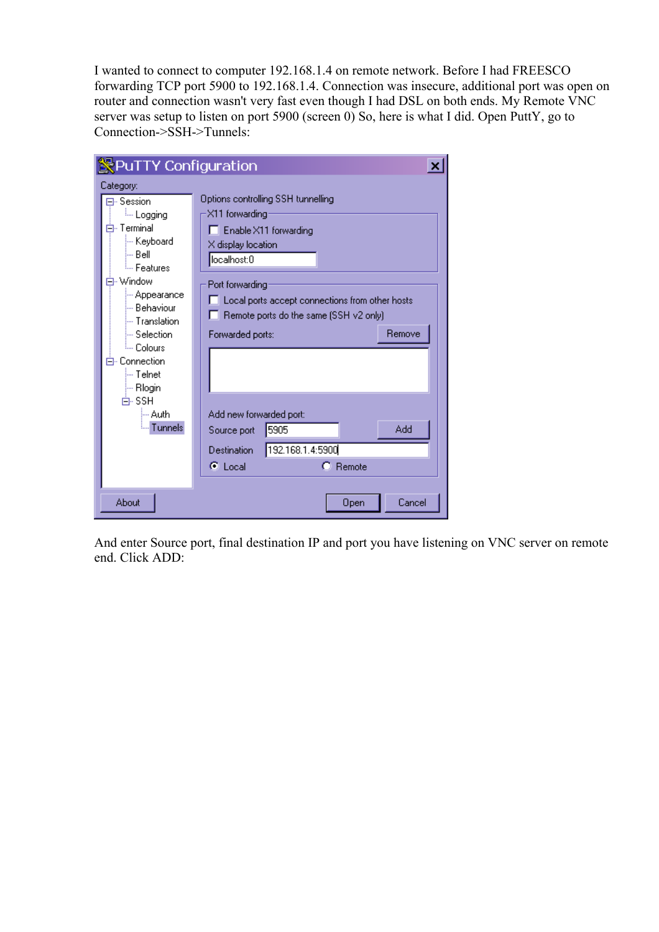I wanted to connect to computer 192.168.1.4 on remote network. Before I had FREESCO forwarding TCP port 5900 to 192.168.1.4. Connection was insecure, additional port was open on router and connection wasn't very fast even though I had DSL on both ends. My Remote VNC server was setup to listen on port 5900 (screen 0) So, here is what I did. Open PuttY, go to Connection->SSH->Tunnels:

| <b>X</b> PuTTY Configuration<br>×                                                                                                                                                                                                                                          |                                                                                                                                                                                                                                                                                                                                                                                                     |  |  |  |  |  |
|----------------------------------------------------------------------------------------------------------------------------------------------------------------------------------------------------------------------------------------------------------------------------|-----------------------------------------------------------------------------------------------------------------------------------------------------------------------------------------------------------------------------------------------------------------------------------------------------------------------------------------------------------------------------------------------------|--|--|--|--|--|
| Category:                                                                                                                                                                                                                                                                  |                                                                                                                                                                                                                                                                                                                                                                                                     |  |  |  |  |  |
| ⊟⊹ Session<br><b>Logging</b><br>Ė⊩ Terminal<br>-Keyboard<br>i— Bell<br><b>E</b> eatures<br>户 Window<br>¦— Appearance<br>⊨– Behaviour<br>i— Translation.<br>- Selection<br><sup>i</sup> Colours<br>户- Connection<br>l— Telnet<br>∣— Rlogin<br>Ĥ-SSH<br>l— Auth<br>i Tunnels | Options controlling SSH tunnelling<br>X11 forwarding<br>Enable X11 forwarding<br>X display location<br>localhost:0<br>Port forwarding<br>Local ports accept connections from other hosts<br>Remote ports do the same (SSH v2 only)<br>Remove<br>Forwarded ports:<br>Add new forwarded port:<br>Add<br>5905<br>Source port<br>192.168.1.4:5900<br>Destination<br>$\bullet$ Local<br>$\bullet$ Remote |  |  |  |  |  |
| About                                                                                                                                                                                                                                                                      | Cancel<br>Open                                                                                                                                                                                                                                                                                                                                                                                      |  |  |  |  |  |

And enter Source port, final destination IP and port you have listening on VNC server on remote end. Click ADD: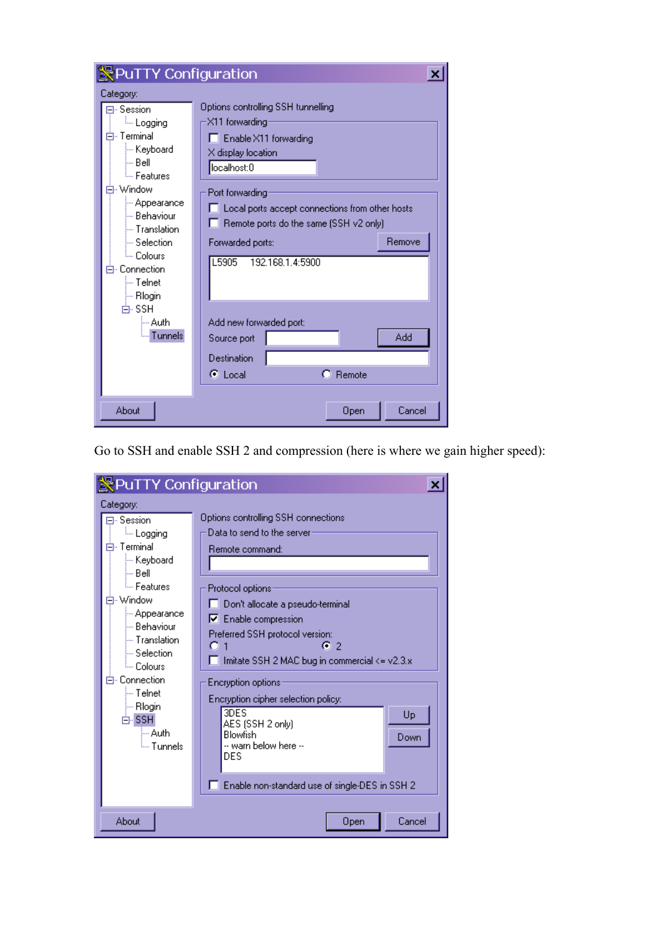| <b>PuTTY Configuration</b><br>×                                                                                                                                                                                                                                                                           |                                                                                                                                                                                                                                                                                                                                                                                                                     |  |  |  |  |
|-----------------------------------------------------------------------------------------------------------------------------------------------------------------------------------------------------------------------------------------------------------------------------------------------------------|---------------------------------------------------------------------------------------------------------------------------------------------------------------------------------------------------------------------------------------------------------------------------------------------------------------------------------------------------------------------------------------------------------------------|--|--|--|--|
| Category:<br>⊟- Session.<br><b>Logging</b><br>Ė⊩ Terminali<br>- Keyboard<br>l— Bell<br><sup>L…</sup> Features<br>- Window<br>¦— Appearance<br>i— Behaviouri<br>— Translation<br>— Selection<br><sup>i</sup> Colours<br>Connection<br>!— Telnet<br>i— Rlogin<br>Ė⊢SSH<br>l— Auth<br><sub>i</sub> … Tunnels | Options controlling SSH tunnelling<br>X11 forwarding<br>$\Box$ Enable $\times$ 11 forwarding<br>X display location<br>localhost:0<br>Port forwarding<br>Local ports accept connections from other hosts<br>Remote ports do the same (SSH v2 only)<br>Remove<br>Forwarded ports:<br>L5905<br>192.168.1.4:5900<br>Add new forwarded port:<br>Add<br>Source port<br>Destination<br>$\bullet$ Bemote<br>$\bullet$ Local |  |  |  |  |
| About                                                                                                                                                                                                                                                                                                     | Cancel<br>Open                                                                                                                                                                                                                                                                                                                                                                                                      |  |  |  |  |

Go to SSH and enable SSH 2 and compression (here is where we gain higher speed):

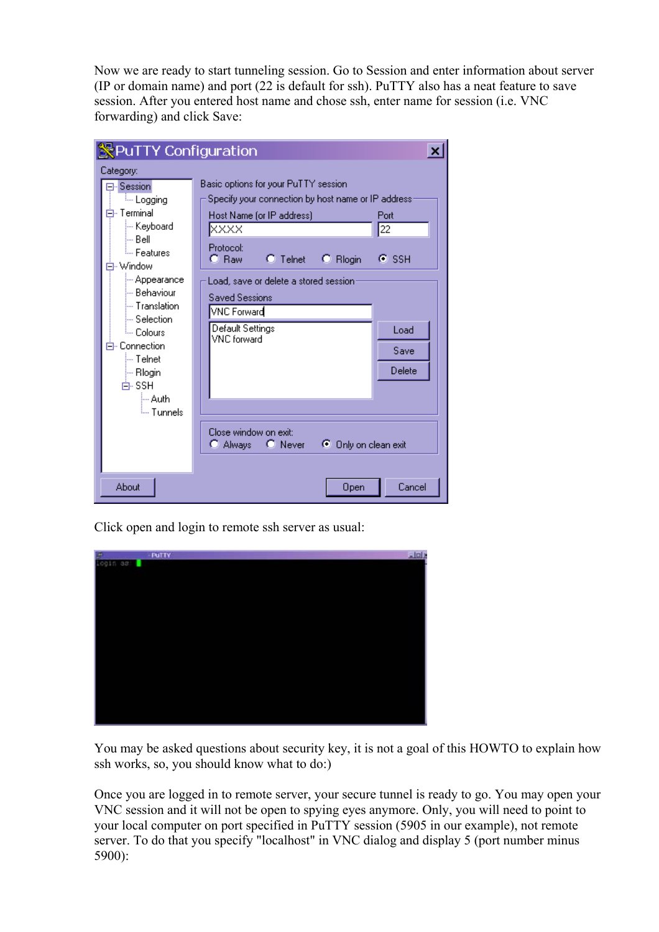Now we are ready to start tunneling session. Go to Session and enter information about server (IP or domain name) and port (22 is default for ssh). PuTTY also has a neat feature to save session. After you entered host name and chose ssh, enter name for session (i.e. VNC forwarding) and click Save:

| PuTTY Configuration<br>×                                                                                                                                                                                                                                                                               |                                                                                                                                                                                                                                                                                                                                                                                                                                                                  |  |  |  |  |
|--------------------------------------------------------------------------------------------------------------------------------------------------------------------------------------------------------------------------------------------------------------------------------------------------------|------------------------------------------------------------------------------------------------------------------------------------------------------------------------------------------------------------------------------------------------------------------------------------------------------------------------------------------------------------------------------------------------------------------------------------------------------------------|--|--|--|--|
| Category:<br>⊟⊹Session.<br>⊧… Logging<br>Ė⊩ Terminali<br>- Keyboard<br>i--- Belli<br><del>ं</del> ''' Features<br>Ė⊩ Window<br>¦— Appearance<br>⊨– Behaviour<br>i— Translation.<br>⊧– Selection.<br><sup>i…</sup> Colours<br>Ė⊢Connection.<br>l— Telnet<br> — Rlogin<br>Ė⊦SSH<br>l— Auth<br>ես Tunnels | Basic options for your PuTTY session<br>Specify your connection by host name or IP address:<br>Host Name (or IP address)<br>Port<br>22<br>xxxx<br>Protocol:<br>$C$ Raw<br>$\bullet$ Telnet<br>$\bullet$ Rlogin<br>$\sigma$ ssh<br>Load, save or delete a stored session:<br><b>Saved Sessions</b><br><b>VNC Forward</b><br>Default Settings<br>Load<br><b>VNC</b> forward<br>Save<br>Delete<br>Close window on exit:<br>C Always C Never<br>← Only on clean exit |  |  |  |  |
| About                                                                                                                                                                                                                                                                                                  | Cancel<br>Open                                                                                                                                                                                                                                                                                                                                                                                                                                                   |  |  |  |  |

Click open and login to remote ssh server as usual:



You may be asked questions about security key, it is not a goal of this HOWTO to explain how ssh works, so, you should know what to do:)

Once you are logged in to remote server, your secure tunnel is ready to go. You may open your VNC session and it will not be open to spying eyes anymore. Only, you will need to point to your local computer on port specified in PuTTY session (5905 in our example), not remote server. To do that you specify "localhost" in VNC dialog and display 5 (port number minus 5900):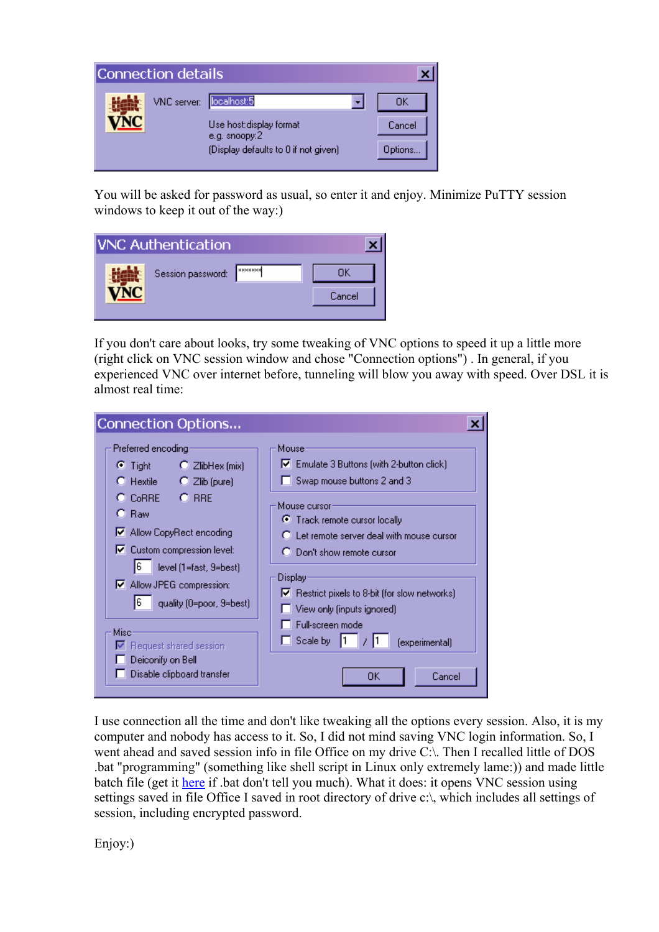

You will be asked for password as usual, so enter it and enjoy. Minimize PuTTY session windows to keep it out of the way:)

| <b>IVNC Authentication</b>   |        |  |  |  |
|------------------------------|--------|--|--|--|
| xxxxxxx<br>Session password: |        |  |  |  |
|                              | Cancel |  |  |  |

If you don't care about looks, try some tweaking of VNC options to speed it up a little more (right click on VNC session window and chose "Connection options") . In general, if you experienced VNC over internet before, tunneling will blow you away with speed. Over DSL it is almost real time:

| Connection Options                                                                                                                                                                                                                                                                                                   |                                                                                                                                                                                                                                                                                                                                                       |  |  |  |
|----------------------------------------------------------------------------------------------------------------------------------------------------------------------------------------------------------------------------------------------------------------------------------------------------------------------|-------------------------------------------------------------------------------------------------------------------------------------------------------------------------------------------------------------------------------------------------------------------------------------------------------------------------------------------------------|--|--|--|
| Preferred encoding<br>$\bigcirc$ ZlibHex (mix)<br>$\bullet$ Tight<br>$\bullet$ Hextile<br>$C$ Zlib (pure)<br>$C$ CoRRE<br>$C$ RRE<br>$C$ Raw<br>M Allow CopyRect encoding<br>$\triangleright$ Custom compression level:<br>6<br>level (1=fast, 9=best)<br>▶ Allow JPEG compression:<br>6<br>quality (0=poor, 9=best) | Mouse<br>$\triangleright$ Emulate 3 Buttons (with 2-button click)<br>Swap mouse buttons 2 and 3<br>Mouse cursor<br>● Track remote cursor locally<br>$\bullet$ Let remote server deal with mouse cursor<br><b>C</b> Don't show remote cursor<br>Display<br>$\triangleright$ Restrict pixels to 8-bit (for slow networks)<br>View only (inputs ignored) |  |  |  |
| Misc<br><b>Request shared session</b><br>Deiconify on Bell<br>Disable clipboard transfer                                                                                                                                                                                                                             | Full-screen mode<br>$\Box$ Scale by<br>(experimental)<br>OΚ<br>Cancel                                                                                                                                                                                                                                                                                 |  |  |  |

I use connection all the time and don't like tweaking all the options every session. Also, it is my computer and nobody has access to it. So, I did not mind saving VNC login information. So, I went ahead and saved session info in file Office on my drive C:\. Then I recalled little of DOS .bat "programming" (something like shell script in Linux only extremely lame:)) and made little batch file (get it here if .bat don't tell you much). What it does: it opens VNC session using settings saved in file Office I saved in root directory of drive c:\, which includes all settings of session, including encrypted password.

Enjoy:)